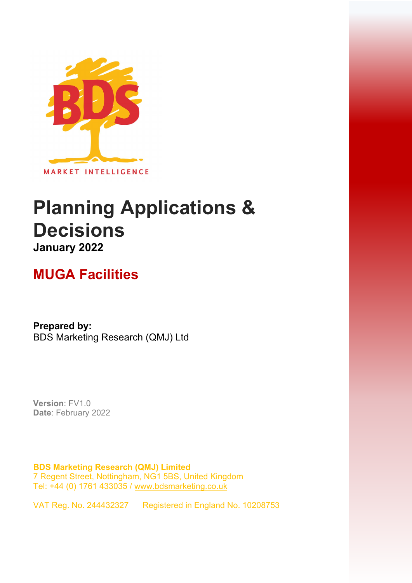

# **Planning Applications & Decisions January 2022**

## **MUGA Facilities**

**Prepared by:**  BDS Marketing Research (QMJ) Ltd

**Version**: FV1.0 **Date**: February 2022

**BDS Marketing Research (QMJ) Limited**  7 Regent Street, Nottingham, NG1 5BS, United Kingdom Tel: +44 (0) 1761 433035 / [www.bdsmarketing.co.uk](http://www.bdsmarketing.co.uk/)

VAT Reg. No. 244432327 Registered in England No. 10208753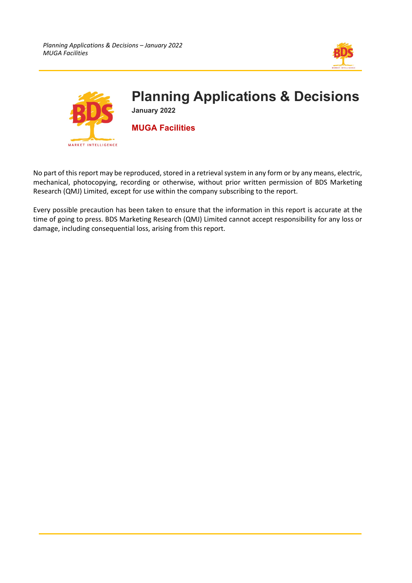



No part of this report may be reproduced, stored in a retrieval system in any form or by any means, electric, mechanical, photocopying, recording or otherwise, without prior written permission of BDS Marketing Research (QMJ) Limited, except for use within the company subscribing to the report.

Every possible precaution has been taken to ensure that the information in this report is accurate at the time of going to press. BDS Marketing Research (QMJ) Limited cannot accept responsibility for any loss or damage, including consequential loss, arising from this report.